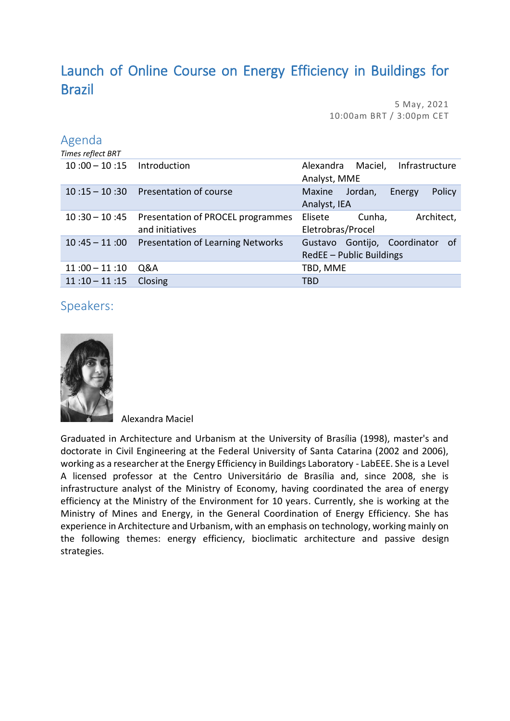## Launch of Online Course on Energy Efficiency in Buildings for Brazil

5 May, 2021 10:00am BRT / 3:00pm CET

## Agenda

| Times reflect BRT |                                          |                                        |
|-------------------|------------------------------------------|----------------------------------------|
| $10:00 - 10:15$   | Introduction                             | Infrastructure<br>Maciel,<br>Alexandra |
|                   |                                          | Analyst, MME                           |
| $10:15 - 10:30$   | Presentation of course                   | Policy<br>Jordan,<br>Maxine<br>Energy  |
|                   |                                          | Analyst, IEA                           |
| $10:30 - 10:45$   | Presentation of PROCEL programmes        | Architect,<br>Elisete<br>Cunha,        |
|                   | and initiatives                          | Eletrobras/Procel                      |
| $10:45 - 11:00$   | <b>Presentation of Learning Networks</b> | Gontijo, Coordinator<br>0f<br>Gustavo  |
|                   |                                          | RedEE - Public Buildings               |
| $11:00 - 11:10$   | Q&A                                      | TBD, MME                               |
| $11:10 - 11:15$   | Closing                                  | TBD                                    |

## Speakers:



Alexandra Maciel

Graduated in Architecture and Urbanism at the University of Brasília (1998), master's and doctorate in Civil Engineering at the Federal University of Santa Catarina (2002 and 2006), working as a researcher at the Energy Efficiency in Buildings Laboratory - LabEEE. She is a Level A licensed professor at the Centro Universitário de Brasília and, since 2008, she is infrastructure analyst of the Ministry of Economy, having coordinated the area of energy efficiency at the Ministry of the Environment for 10 years. Currently, she is working at the Ministry of Mines and Energy, in the General Coordination of Energy Efficiency. She has experience in Architecture and Urbanism, with an emphasis on technology, working mainly on the following themes: energy efficiency, bioclimatic architecture and passive design strategies.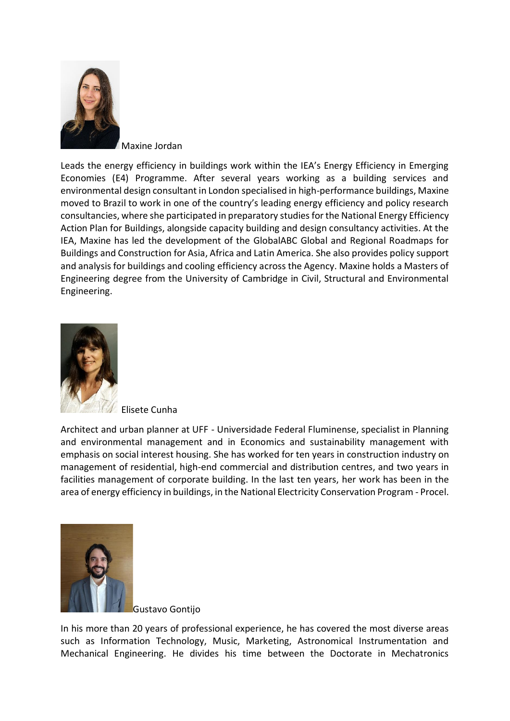

Maxine Jordan

Leads the energy efficiency in buildings work within the IEA's Energy Efficiency in Emerging Economies (E4) Programme. After several years working as a building services and environmental design consultant in London specialised in high-performance buildings, Maxine moved to Brazil to work in one of the country's leading energy efficiency and policy research consultancies, where she participated in preparatory studies for the National Energy Efficiency Action Plan for Buildings, alongside capacity building and design consultancy activities. At the IEA, Maxine has led the development of the GlobalABC Global and Regional Roadmaps for Buildings and Construction for Asia, Africa and Latin America. She also provides policy support and analysis for buildings and cooling efficiency across the Agency. Maxine holds a Masters of Engineering degree from the University of Cambridge in Civil, Structural and Environmental Engineering.



Elisete Cunha

Architect and urban planner at UFF - Universidade Federal Fluminense, specialist in Planning and environmental management and in Economics and sustainability management with emphasis on social interest housing. She has worked for ten years in construction industry on management of residential, high-end commercial and distribution centres, and two years in facilities management of corporate building. In the last ten years, her work has been in the area of energy efficiency in buildings, in the National Electricity Conservation Program - Procel.



Gustavo Gontijo

In his more than 20 years of professional experience, he has covered the most diverse areas such as Information Technology, Music, Marketing, Astronomical Instrumentation and Mechanical Engineering. He divides his time between the Doctorate in Mechatronics